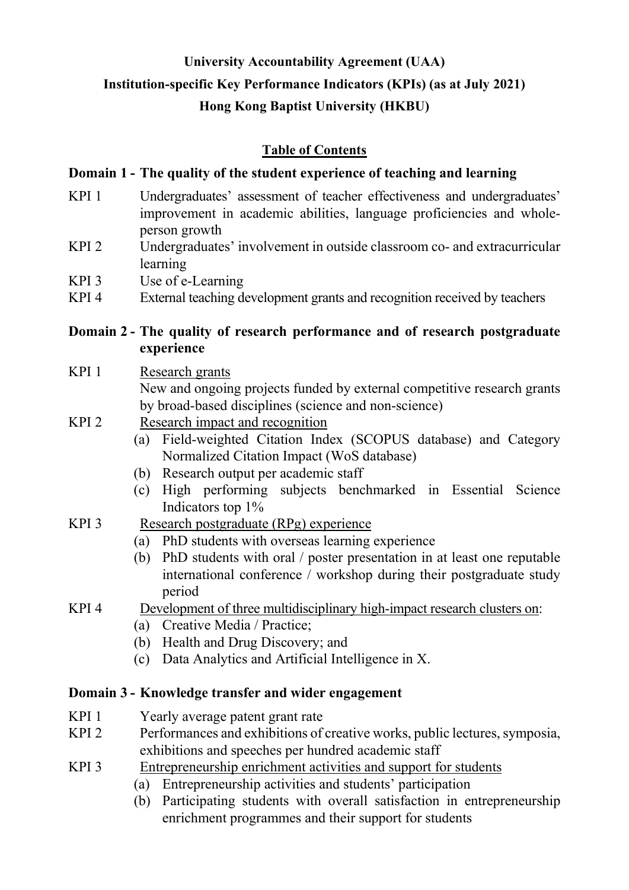# **University Accountability Agreement (UAA) Institution-specific Key Performance Indicators (KPIs) (as at July 2021) Hong Kong Baptist University (HKBU)**

## **Table of Contents**

## **Domain 1 - The quality of the student experience of teaching and learning**

- KPI 1 Undergraduates' assessment of teacher effectiveness and undergraduates' improvement in academic abilities, language proficiencies and wholeperson growth
- KPI 2 Undergraduates' involvement in outside classroom co- and extracurricular learning
- KPI 3 Use of e-Learning
- KPI 4 External teaching development grants and recognition received by teachers

## **Domain 2 - The quality of research performance and of research postgraduate experience**

## KPI 1 Research grants New and ongoing projects funded by external competitive research grants by broad-based disciplines (science and non-science)

- KPI 2 Research impact and recognition
	- (a) Field-weighted Citation Index (SCOPUS database) and Category Normalized Citation Impact (WoS database)
	- (b) Research output per academic staff
	- (c) High performing subjects benchmarked in Essential Science Indicators top 1%
- KPI 3 Research postgraduate (RPg) experience
	- (a) PhD students with overseas learning experience
	- (b) PhD students with oral / poster presentation in at least one reputable international conference / workshop during their postgraduate study period

## KPI 4 Development of three multidisciplinary high-impact research clusters on:

- (a) Creative Media / Practice;
- (b) Health and Drug Discovery; and
- (c) Data Analytics and Artificial Intelligence in X.

## **Domain 3 - Knowledge transfer and wider engagement**

- KPI 1 Yearly average patent grant rate
- KPI 2 Performances and exhibitions of creative works, public lectures, symposia, exhibitions and speeches per hundred academic staff
- KPI 3 Entrepreneurship enrichment activities and support for students
	- (a) Entrepreneurship activities and students' participation
	- (b) Participating students with overall satisfaction in entrepreneurship enrichment programmes and their support for students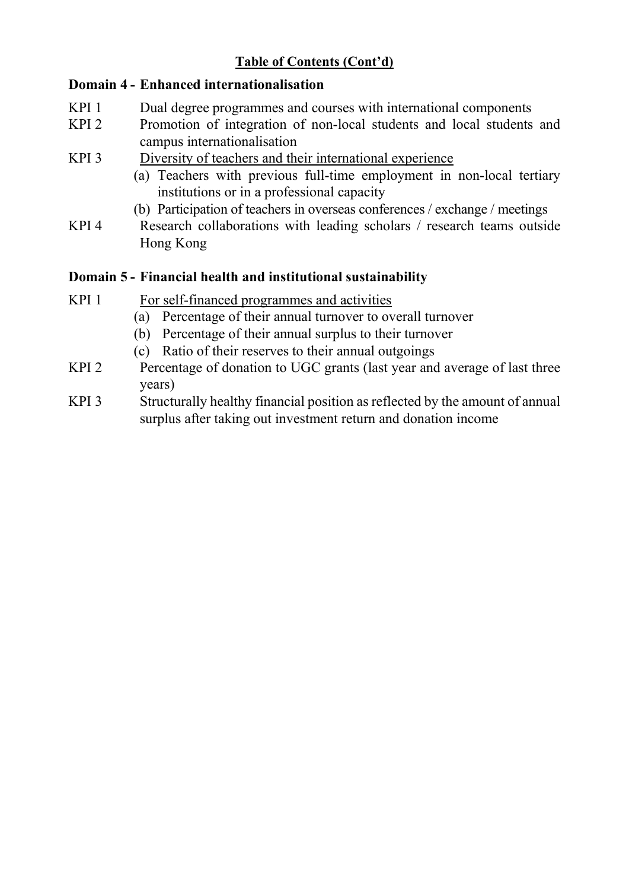## **Table of Contents (Cont'd)**

## **Domain 4 - Enhanced internationalisation**

- KPI 1 Dual degree programmes and courses with international components
- KPI 2 Promotion of integration of non-local students and local students and campus internationalisation
- KPI 3 Diversity of teachers and their international experience
	- (a) Teachers with previous full-time employment in non-local tertiary institutions or in a professional capacity
	- (b) Participation of teachers in overseas conferences / exchange / meetings
- KPI 4 Research collaborations with leading scholars / research teams outside Hong Kong

## **Domain 5 - Financial health and institutional sustainability**

- KPI 1 For self-financed programmes and activities
	- (a) Percentage of their annual turnover to overall turnover
	- (b) Percentage of their annual surplus to their turnover
	- (c) Ratio of their reserves to their annual outgoings
- KPI 2 Percentage of donation to UGC grants (last year and average of last three years)
- KPI 3 Structurally healthy financial position as reflected by the amount of annual surplus after taking out investment return and donation income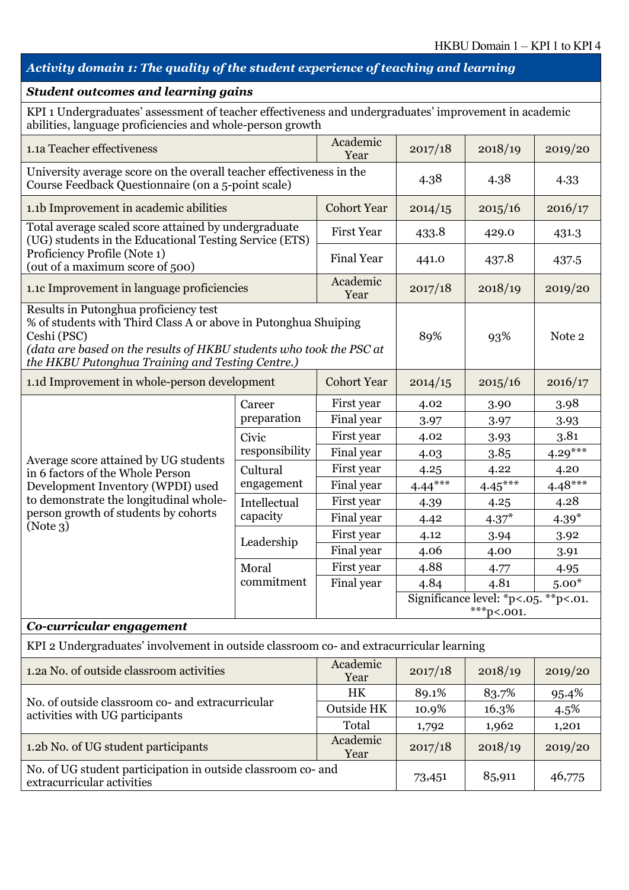# *Activity domain 1: The quality of the student experience of teaching and learning*

| <b>Student outcomes and learning gains</b>                                                                                                                                                                                                         |                                     |                                                   |           |                                                       |           |  |
|----------------------------------------------------------------------------------------------------------------------------------------------------------------------------------------------------------------------------------------------------|-------------------------------------|---------------------------------------------------|-----------|-------------------------------------------------------|-----------|--|
| KPI 1 Undergraduates' assessment of teacher effectiveness and undergraduates' improvement in academic<br>abilities, language proficiencies and whole-person growth                                                                                 |                                     |                                                   |           |                                                       |           |  |
| 1.1a Teacher effectiveness                                                                                                                                                                                                                         |                                     | Academic<br>2017/18<br>2018/19<br>2019/20<br>Year |           |                                                       |           |  |
| University average score on the overall teacher effectiveness in the<br>Course Feedback Questionnaire (on a 5-point scale)                                                                                                                         |                                     |                                                   | 4.38      | 4.38                                                  | 4.33      |  |
| 1.1b Improvement in academic abilities                                                                                                                                                                                                             |                                     | <b>Cohort Year</b>                                | 2014/15   | 2015/16                                               | 2016/17   |  |
| Total average scaled score attained by undergraduate<br>(UG) students in the Educational Testing Service (ETS)                                                                                                                                     |                                     | <b>First Year</b>                                 | 433.8     | 429.0                                                 | 431.3     |  |
| Proficiency Profile (Note 1)<br>(out of a maximum score of 500)                                                                                                                                                                                    |                                     | <b>Final Year</b>                                 | 441.0     | 437.8                                                 | 437.5     |  |
| 1.1c Improvement in language proficiencies                                                                                                                                                                                                         |                                     | Academic<br>Year                                  | 2017/18   | 2018/19                                               | 2019/20   |  |
| Results in Putonghua proficiency test<br>% of students with Third Class A or above in Putonghua Shuiping<br>Ceshi (PSC)<br>(data are based on the results of HKBU students who took the PSC at<br>the HKBU Putonghua Training and Testing Centre.) |                                     |                                                   | 89%       | 93%                                                   | Note 2    |  |
| 1.1d Improvement in whole-person development                                                                                                                                                                                                       |                                     | <b>Cohort Year</b>                                | 2014/15   | 2015/16                                               | 2016/17   |  |
|                                                                                                                                                                                                                                                    | Career                              | First year                                        | 4.02      | 3.90                                                  | 3.98      |  |
|                                                                                                                                                                                                                                                    | preparation                         | Final year                                        | 3.97      | 3.97                                                  | 3.93      |  |
|                                                                                                                                                                                                                                                    | Civic<br>responsibility<br>Cultural | First year                                        | 4.02      | 3.93                                                  | 3.81      |  |
| Average score attained by UG students                                                                                                                                                                                                              |                                     | Final year                                        | 4.03      | 3.85                                                  | $4.29***$ |  |
| in 6 factors of the Whole Person                                                                                                                                                                                                                   |                                     | First year                                        | 4.25      | 4.22                                                  | 4.20      |  |
| Development Inventory (WPDI) used                                                                                                                                                                                                                  | engagement                          | Final year                                        | $4.44***$ | $4.45***$                                             | $4.48***$ |  |
| to demonstrate the longitudinal whole-                                                                                                                                                                                                             | Intellectual                        | First year                                        | 4.39      | 4.25                                                  | 4.28      |  |
| person growth of students by cohorts<br>(Note3)                                                                                                                                                                                                    | capacity                            | Final year                                        | 4.42      | $4.37*$                                               | $4.39*$   |  |
|                                                                                                                                                                                                                                                    | Leadership                          | First year                                        | 4.12      | 3.94                                                  | 3.92      |  |
|                                                                                                                                                                                                                                                    |                                     | Final year                                        | 4.06      | 4.00                                                  | 3.91      |  |
|                                                                                                                                                                                                                                                    | Moral                               | First year                                        | 4.88      | 4.77                                                  | 4.95      |  |
|                                                                                                                                                                                                                                                    | commitment                          | Final year                                        | 4.84      | 4.81                                                  | $5.00*$   |  |
|                                                                                                                                                                                                                                                    |                                     |                                                   |           | Significance level: *p<.05. **p<.01.<br>$***p<.001$ . |           |  |
| Co-curricular engagement                                                                                                                                                                                                                           |                                     |                                                   |           |                                                       |           |  |
| KPI 2 Undergraduates' involvement in outside classroom co- and extracurricular learning                                                                                                                                                            |                                     |                                                   |           |                                                       |           |  |
| 1.2a No. of outside classroom activities                                                                                                                                                                                                           |                                     | Academic<br>Year                                  | 2017/18   | 2018/19                                               | 2019/20   |  |
| No. of outside classroom co- and extracurricular                                                                                                                                                                                                   |                                     | HK                                                | 89.1%     | 83.7%                                                 | 95.4%     |  |
| activities with UG participants                                                                                                                                                                                                                    |                                     | Outside HK                                        | 10.9%     | 16.3%                                                 | 4.5%      |  |
|                                                                                                                                                                                                                                                    |                                     | Total                                             | 1,792     | 1,962                                                 | 1,201     |  |
| 1.2b No. of UG student participants                                                                                                                                                                                                                |                                     | Academic<br>Year                                  | 2017/18   | 2018/19                                               | 2019/20   |  |
| No. of UG student participation in outside classroom co- and<br>85,911<br>73,451<br>extracurricular activities                                                                                                                                     |                                     |                                                   |           |                                                       | 46,775    |  |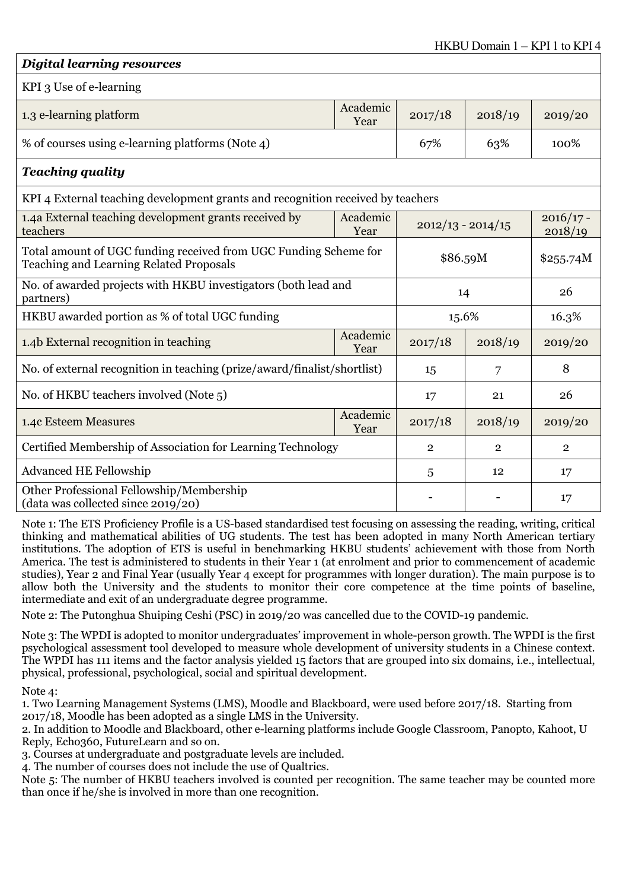| <b>Digital learning resources</b>                                                                                  |                  |                                               |                |         |
|--------------------------------------------------------------------------------------------------------------------|------------------|-----------------------------------------------|----------------|---------|
| KPI 3 Use of e-learning                                                                                            |                  |                                               |                |         |
| 1.3 e-learning platform                                                                                            | Academic<br>Year | 2017/18                                       | 2018/19        | 2019/20 |
| % of courses using e-learning platforms (Note 4)                                                                   |                  | 67%                                           | 63%            | 100%    |
| <b>Teaching quality</b>                                                                                            |                  |                                               |                |         |
| KPI 4 External teaching development grants and recognition received by teachers                                    |                  |                                               |                |         |
| 1.4a External teaching development grants received by<br>teachers                                                  | Academic<br>Year | $2016/17 -$<br>$2012/13 - 2014/15$<br>2018/19 |                |         |
| Total amount of UGC funding received from UGC Funding Scheme for<br><b>Teaching and Learning Related Proposals</b> |                  | \$86.59M                                      | \$255.74M      |         |
| No. of awarded projects with HKBU investigators (both lead and<br>partners)                                        |                  | 14                                            |                | 26      |
| HKBU awarded portion as % of total UGC funding                                                                     |                  | 15.6%                                         |                | 16.3%   |
| 1.4b External recognition in teaching                                                                              | Academic<br>Year | 2017/18                                       | 2018/19        | 2019/20 |
| No. of external recognition in teaching (prize/award/finalist/shortlist)                                           |                  | 15                                            | 8              |         |
| No. of HKBU teachers involved (Note 5)                                                                             |                  | 17                                            | 21             | 26      |
| 1.4c Esteem Measures                                                                                               | Academic<br>Year | 2017/18                                       | 2018/19        | 2019/20 |
| Certified Membership of Association for Learning Technology                                                        |                  | $\overline{2}$                                | $\overline{2}$ |         |
| <b>Advanced HE Fellowship</b>                                                                                      |                  | 5                                             | 12             | 17      |
| Other Professional Fellowship/Membership<br>(data was collected since 2019/20)                                     |                  |                                               |                | 17      |

Note 1: The ETS Proficiency Profile is a US-based standardised test focusing on assessing the reading, writing, critical thinking and mathematical abilities of UG students. The test has been adopted in many North American tertiary institutions. The adoption of ETS is useful in benchmarking HKBU students' achievement with those from North America. The test is administered to students in their Year 1 (at enrolment and prior to commencement of academic studies), Year 2 and Final Year (usually Year 4 except for programmes with longer duration). The main purpose is to allow both the University and the students to monitor their core competence at the time points of baseline, intermediate and exit of an undergraduate degree programme.

Note 2: The Putonghua Shuiping Ceshi (PSC) in 2019/20 was cancelled due to the COVID-19 pandemic.

Note 3: The WPDI is adopted to monitor undergraduates' improvement in whole-person growth. The WPDI is the first psychological assessment tool developed to measure whole development of university students in a Chinese context. The WPDI has 111 items and the factor analysis yielded 15 factors that are grouped into six domains, i.e., intellectual, physical, professional, psychological, social and spiritual development.

Note 4:

1. Two Learning Management Systems (LMS), Moodle and Blackboard, were used before 2017/18. Starting from 2017/18, Moodle has been adopted as a single LMS in the University.

2. In addition to Moodle and Blackboard, other e-learning platforms include Google Classroom, Panopto, Kahoot, U Reply, Echo360, FutureLearn and so on.

3. Courses at undergraduate and postgraduate levels are included.

4. The number of courses does not include the use of Qualtrics.

Note 5: The number of HKBU teachers involved is counted per recognition. The same teacher may be counted more than once if he/she is involved in more than one recognition.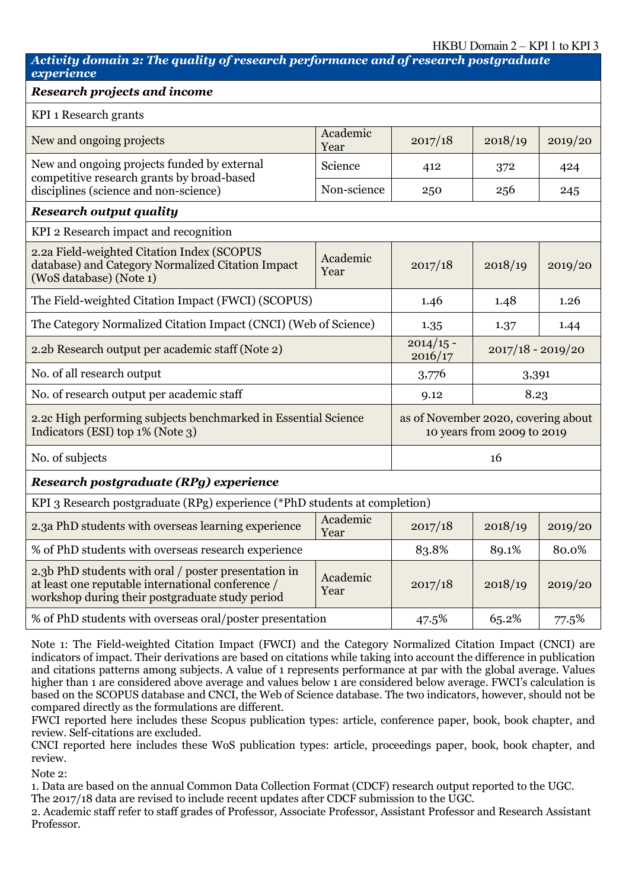#### HKBU Domain 2 – KPI 1 to KPI 3

#### *Activity domain 2: The quality of research performance and of research postgraduate experience*

#### *Research projects and income*

| Research projects and income                                                                                                                                                                                                                                                                            |                  |                                               |                            |         |  |
|---------------------------------------------------------------------------------------------------------------------------------------------------------------------------------------------------------------------------------------------------------------------------------------------------------|------------------|-----------------------------------------------|----------------------------|---------|--|
| KPI 1 Research grants                                                                                                                                                                                                                                                                                   |                  |                                               |                            |         |  |
| New and ongoing projects                                                                                                                                                                                                                                                                                | Academic<br>Year | 2017/18                                       | 2018/19                    | 2019/20 |  |
| New and ongoing projects funded by external<br>competitive research grants by broad-based                                                                                                                                                                                                               | Science          | 412                                           | 372                        | 424     |  |
| disciplines (science and non-science)                                                                                                                                                                                                                                                                   | Non-science      | 250                                           | 256                        | 245     |  |
| <b>Research output quality</b>                                                                                                                                                                                                                                                                          |                  |                                               |                            |         |  |
| KPI 2 Research impact and recognition                                                                                                                                                                                                                                                                   |                  |                                               |                            |         |  |
| 2.2a Field-weighted Citation Index (SCOPUS<br>database) and Category Normalized Citation Impact<br>(WoS database) (Note 1)                                                                                                                                                                              | Academic<br>Year | 2017/18                                       | 2018/19                    | 2019/20 |  |
| The Field-weighted Citation Impact (FWCI) (SCOPUS)                                                                                                                                                                                                                                                      |                  | 1.46                                          | 1.48                       | 1.26    |  |
| The Category Normalized Citation Impact (CNCI) (Web of Science)                                                                                                                                                                                                                                         |                  | 1.35<br>1.37                                  |                            | 1.44    |  |
| 2.2b Research output per academic staff (Note 2)                                                                                                                                                                                                                                                        |                  | $2014/15 -$<br>$2017/18 - 2019/20$<br>2016/17 |                            |         |  |
| No. of all research output                                                                                                                                                                                                                                                                              |                  | 3,776                                         | 3,391                      |         |  |
| No. of research output per academic staff                                                                                                                                                                                                                                                               |                  | 9.12                                          | 8.23                       |         |  |
| 2.2c High performing subjects benchmarked in Essential Science<br>Indicators (ESI) top 1% (Note 3)                                                                                                                                                                                                      |                  | as of November 2020, covering about           | 10 years from 2009 to 2019 |         |  |
| No. of subjects                                                                                                                                                                                                                                                                                         |                  |                                               | 16                         |         |  |
| Research postgraduate (RPg) experience                                                                                                                                                                                                                                                                  |                  |                                               |                            |         |  |
| KPI 3 Research postgraduate (RPg) experience (*PhD students at completion)                                                                                                                                                                                                                              |                  |                                               |                            |         |  |
| 2.3a PhD students with overseas learning experience                                                                                                                                                                                                                                                     | Academic<br>Year | 2017/18                                       | 2018/19                    | 2019/20 |  |
| % of PhD students with overseas research experience                                                                                                                                                                                                                                                     |                  | 83.8%                                         | 89.1%                      | 80.0%   |  |
| $\mathbf{1} \mathbf{p}$ and $\mathbf{p}$ and $\mathbf{p}$ and $\mathbf{p}$ and $\mathbf{p}$ and $\mathbf{p}$ and $\mathbf{p}$ and $\mathbf{p}$ and $\mathbf{p}$ and $\mathbf{p}$ and $\mathbf{p}$ and $\mathbf{p}$ and $\mathbf{p}$ and $\mathbf{p}$ and $\mathbf{p}$ and $\mathbf{p}$ and $\mathbf{p}$ |                  |                                               |                            |         |  |

2.3b PhD students with oral / poster presentation in at least one reputable international conference / workshop during their postgraduate study period Academic Year 2017/18 2018/19 2019/20 % of PhD students with overseas oral/poster presentation  $\begin{array}{|l} | & 47.5\% \\ | & 65.2\% \\ \end{array}$  77.5%

Note 1: The Field-weighted Citation Impact (FWCI) and the Category Normalized Citation Impact (CNCI) are indicators of impact. Their derivations are based on citations while taking into account the difference in publication and citations patterns among subjects. A value of 1 represents performance at par with the global average. Values higher than 1 are considered above average and values below 1 are considered below average. FWCI's calculation is based on the SCOPUS database and CNCI, the Web of Science database. The two indicators, however, should not be compared directly as the formulations are different.

FWCI reported here includes these Scopus publication types: article, conference paper, book, book chapter, and review. Self-citations are excluded.

CNCI reported here includes these WoS publication types: article, proceedings paper, book, book chapter, and review.

Note 2:

1. Data are based on the annual Common Data Collection Format (CDCF) research output reported to the UGC.

The 2017/18 data are revised to include recent updates after CDCF submission to the UGC.

2. Academic staff refer to staff grades of Professor, Associate Professor, Assistant Professor and Research Assistant Professor.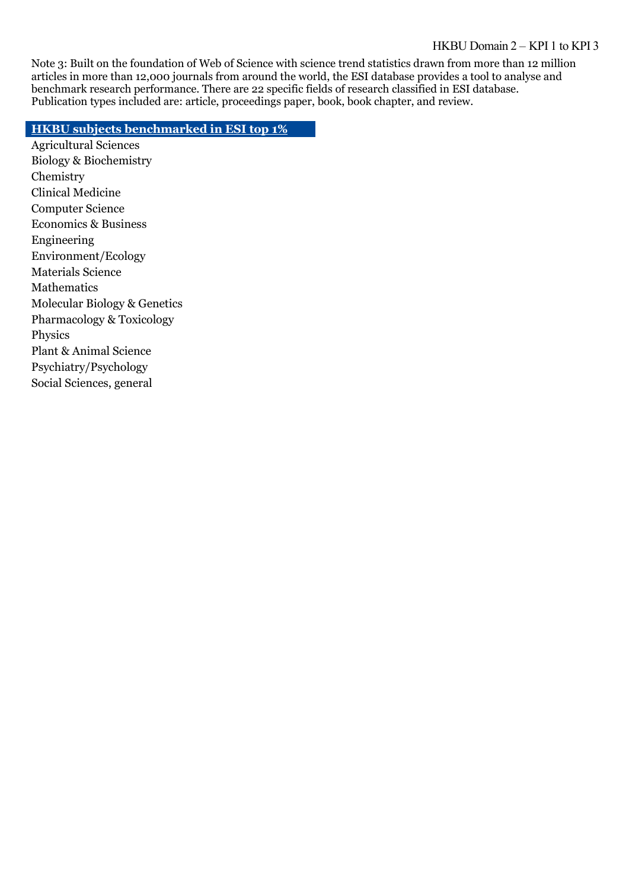#### HKBU Domain 2 – KPI 1 to KPI 3

Note 3: Built on the foundation of Web of Science with science trend statistics drawn from more than 12 million articles in more than 12,000 journals from around the world, the ESI database provides a tool to analyse and benchmark research performance. There are 22 specific fields of research classified in ESI database. Publication types included are: article, proceedings paper, book, book chapter, and review.

#### **HKBU subjects benchmarked in ESI top 1%**

Agricultural Sciences Biology & Biochemistry **Chemistry** Clinical Medicine Computer Science Economics & Business Engineering Environment/Ecology Materials Science Mathematics Molecular Biology & Genetics Pharmacology & Toxicology Physics Plant & Animal Science Psychiatry/Psychology Social Sciences, general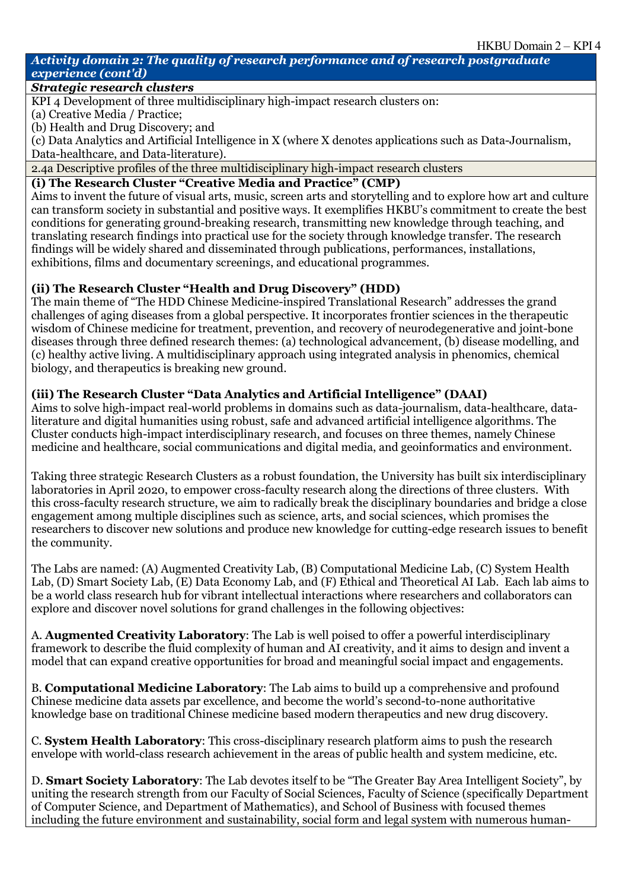#### *Activity domain 2: The quality of research performance and of research postgraduate experience (cont'd)*

#### *Strategic research clusters*

KPI 4 Development of three multidisciplinary high-impact research clusters on:

(a) Creative Media / Practice;

(b) Health and Drug Discovery; and

(c) Data Analytics and Artificial Intelligence in X (where X denotes applications such as Data-Journalism, Data-healthcare, and Data-literature).

2.4a Descriptive profiles of the three multidisciplinary high-impact research clusters

#### **(i) The Research Cluster "Creative Media and Practice" (CMP)**

Aims to invent the future of visual arts, music, screen arts and storytelling and to explore how art and culture can transform society in substantial and positive ways. It exemplifies HKBU's commitment to create the best conditions for generating ground-breaking research, transmitting new knowledge through teaching, and translating research findings into practical use for the society through knowledge transfer. The research findings will be widely shared and disseminated through publications, performances, installations, exhibitions, films and documentary screenings, and educational programmes.

### **(ii) The Research Cluster "Health and Drug Discovery" (HDD)**

The main theme of "The HDD Chinese Medicine-inspired Translational Research" addresses the grand challenges of aging diseases from a global perspective. It incorporates frontier sciences in the therapeutic wisdom of Chinese medicine for treatment, prevention, and recovery of neurodegenerative and joint-bone diseases through three defined research themes: (a) technological advancement, (b) disease modelling, and (c) healthy active living. A multidisciplinary approach using integrated analysis in phenomics, chemical biology, and therapeutics is breaking new ground.

### **(iii) The Research Cluster "Data Analytics and Artificial Intelligence" (DAAI)**

Aims to solve high-impact real-world problems in domains such as data-journalism, data-healthcare, dataliterature and digital humanities using robust, safe and advanced artificial intelligence algorithms. The Cluster conducts high-impact interdisciplinary research, and focuses on three themes, namely Chinese medicine and healthcare, social communications and digital media, and geoinformatics and environment.

Taking three strategic Research Clusters as a robust foundation, the University has built six interdisciplinary laboratories in April 2020, to empower cross-faculty research along the directions of three clusters. With this cross-faculty research structure, we aim to radically break the disciplinary boundaries and bridge a close engagement among multiple disciplines such as science, arts, and social sciences, which promises the researchers to discover new solutions and produce new knowledge for cutting-edge research issues to benefit the community.

The Labs are named: (A) Augmented Creativity Lab, (B) Computational Medicine Lab, (C) System Health Lab, (D) Smart Society Lab, (E) Data Economy Lab, and (F) Ethical and Theoretical AI Lab. Each lab aims to be a world class research hub for vibrant intellectual interactions where researchers and collaborators can explore and discover novel solutions for grand challenges in the following objectives:

A. **Augmented Creativity Laboratory**: The Lab is well poised to offer a powerful interdisciplinary framework to describe the fluid complexity of human and AI creativity, and it aims to design and invent a model that can expand creative opportunities for broad and meaningful social impact and engagements.

B. **Computational Medicine Laboratory**: The Lab aims to build up a comprehensive and profound Chinese medicine data assets par excellence, and become the world's second-to-none authoritative knowledge base on traditional Chinese medicine based modern therapeutics and new drug discovery.

C. **System Health Laboratory**: This cross-disciplinary research platform aims to push the research envelope with world-class research achievement in the areas of public health and system medicine, etc.

D. **Smart Society Laboratory**: The Lab devotes itself to be "The Greater Bay Area Intelligent Society", by uniting the research strength from our Faculty of Social Sciences, Faculty of Science (specifically Department of Computer Science, and Department of Mathematics), and School of Business with focused themes including the future environment and sustainability, social form and legal system with numerous human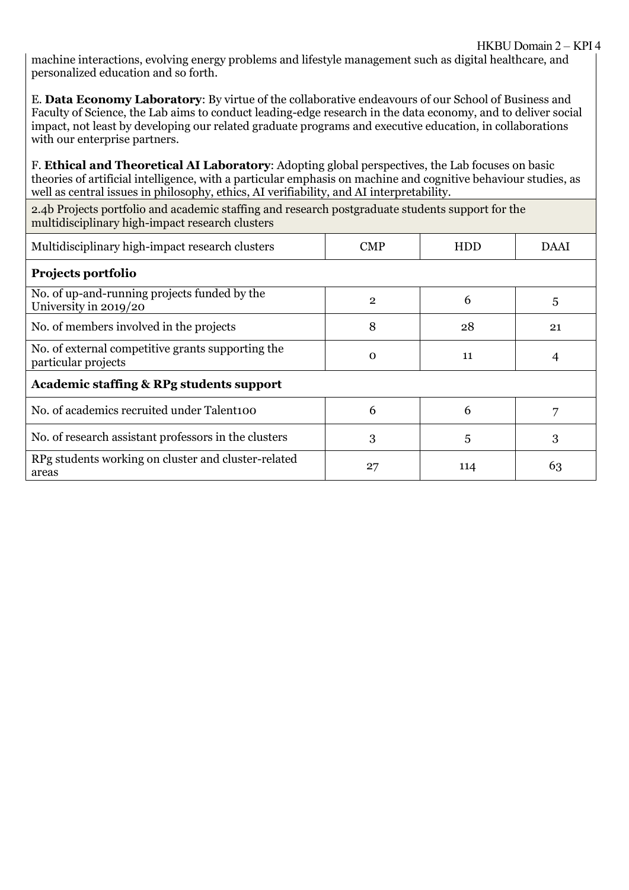machine interactions, evolving energy problems and lifestyle management such as digital healthcare, and personalized education and so forth.

E. **Data Economy Laboratory**: By virtue of the collaborative endeavours of our School of Business and Faculty of Science, the Lab aims to conduct leading-edge research in the data economy, and to deliver social impact, not least by developing our related graduate programs and executive education, in collaborations with our enterprise partners.

F. **Ethical and Theoretical AI Laboratory**: Adopting global perspectives, the Lab focuses on basic theories of artificial intelligence, with a particular emphasis on machine and cognitive behaviour studies, as well as central issues in philosophy, ethics, AI verifiability, and AI interpretability.

2.4b Projects portfolio and academic staffing and research postgraduate students support for the multidisciplinary high-impact research clusters

| Multidisciplinary high-impact research clusters                          | <b>CMP</b>     | <b>HDD</b> | <b>DAAI</b> |
|--------------------------------------------------------------------------|----------------|------------|-------------|
| Projects portfolio                                                       |                |            |             |
| No. of up-and-running projects funded by the<br>University in 2019/20    | $\overline{2}$ | 6          | 5           |
| No. of members involved in the projects                                  | 8              | 28         | 21          |
| No. of external competitive grants supporting the<br>particular projects | $\Omega$       | 11         | 4           |
| <b>Academic staffing &amp; RPg students support</b>                      |                |            |             |
| No. of academics recruited under Talent100                               | 6              | 6          | 7           |
| No. of research assistant professors in the clusters                     | 3              | 5          | 3           |
| RPg students working on cluster and cluster-related<br>areas             | 27             | 114        | 63          |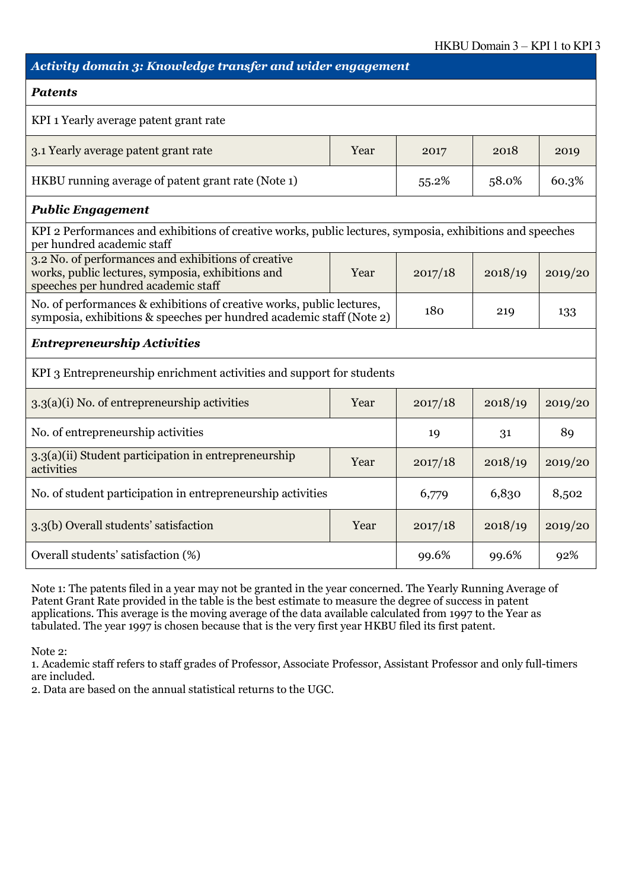### *Activity domain 3: Knowledge transfer and wider engagement*

#### *Patents*

| KPI 1 Yearly average patent grant rate             |      |       |       |       |
|----------------------------------------------------|------|-------|-------|-------|
| 3.1 Yearly average patent grant rate               | Year | 2017  | 2018  | 2019  |
| HKBU running average of patent grant rate (Note 1) |      | 55.2% | 58.0% | 60.3% |

### *Public Engagement*

| KPI 2 Performances and exhibitions of creative works, public lectures, symposia, exhibitions and speeches<br>per hundred academic staff         |      |         |         |         |
|-------------------------------------------------------------------------------------------------------------------------------------------------|------|---------|---------|---------|
| 3.2 No. of performances and exhibitions of creative<br>works, public lectures, symposia, exhibitions and<br>speeches per hundred academic staff | Year | 2017/18 | 2018/19 | 2019/20 |
| No. of performances & exhibitions of creative works, public lectures,<br>symposia, exhibitions & speeches per hundred academic staff (Note 2)   |      | 180     | 219     | 133     |

#### *Entrepreneurship Activities*

KPI 3 Entrepreneurship enrichment activities and support for students

| $3.3(a)(i)$ No. of entrepreneurship activities                     | Year | 2017/18 | 2018/19 | 2019/20 |
|--------------------------------------------------------------------|------|---------|---------|---------|
| No. of entrepreneurship activities                                 |      | 19      | 31      | 89      |
| 3.3(a)(ii) Student participation in entrepreneurship<br>activities | Year | 2017/18 | 2018/19 | 2019/20 |
| No. of student participation in entrepreneurship activities        |      | 6,779   | 6,830   | 8,502   |
| 3.3(b) Overall students' satisfaction                              | Year | 2017/18 | 2018/19 | 2019/20 |
| Overall students' satisfaction (%)                                 |      | 99.6%   | 99.6%   | 92%     |

Note 1: The patents filed in a year may not be granted in the year concerned. The Yearly Running Average of Patent Grant Rate provided in the table is the best estimate to measure the degree of success in patent applications. This average is the moving average of the data available calculated from 1997 to the Year as tabulated. The year 1997 is chosen because that is the very first year HKBU filed its first patent.

Note 2:

1. Academic staff refers to staff grades of Professor, Associate Professor, Assistant Professor and only full-timers are included.

2. Data are based on the annual statistical returns to the UGC.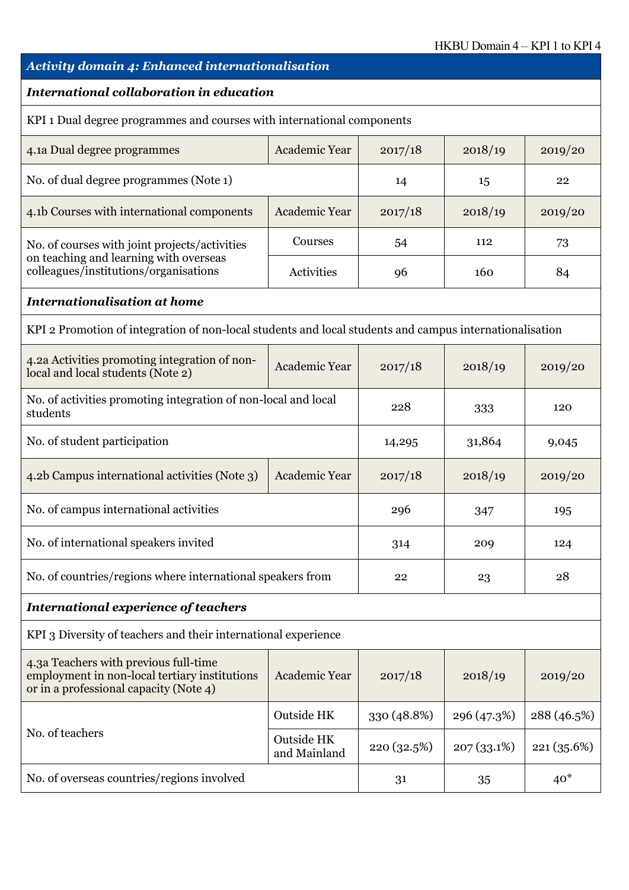# *Activity domain 4: Enhanced internationalisation International collaboration in education* KPI 1 Dual degree programmes and courses with international components 4.1a Dual degree programmes <br>Academic Year 2017/18 2018/19 2019/20 No. of dual degree programmes (Note 1) 14 15 15 22 4.1b Courses with international components  $\vert$  Academic Year  $\vert$  2017/18  $\vert$  2018/19  $\vert$  2019/20 No. of courses with joint projects/activities on teaching and learning with overseas colleagues/institutions/organisations Courses  $\begin{array}{|c|c|c|c|c|c|} \hline 54 & 112 & \begin{array}{|c|c|c|} \hline 73 & 112 & \end{array} \hline \end{array}$ Activities 96 160 84 *Internationalisation at home* KPI 2 Promotion of integration of non-local students and local students and campus internationalisation 4.2a Activities promoting integration of non-4.2a Activities promoting integration of non-<br>local and local students (Note 2)  $\left[\begin{array}{c|c}\text{Academic Year} \end{array}\right]$  2017/18  $\left[\begin{array}{c|c} \text{2018/19} \end{array}\right]$  2019/20 No. of activities promoting integration of non-local and local students  $\frac{333}{228}$  333 120 No. of student participation 14,295 31,864 9,045 4.2b Campus international activities (Note 3)  $\vert$  Academic Year  $\vert$  2017/18  $\vert$  2018/19  $\vert$  2019/20 No. of campus international activities 296 296 347 195 No. of international speakers invited 124 314 209 124 No. of countries/regions where international speakers from 22 23 23 28 *International experience of teachers* KPI 3 Diversity of teachers and their international experience 4.3a Teachers with previous full-time employment in non-local tertiary institutions or in a professional capacity (Note 4) Academic Year | 2017/18 | 2018/19 | 2019/20 No. of teachers Outside HK 330 (48.8%) 296 (47.3%) 288 (46.5%) Outside HK Dutside HK  $\frac{1}{220}$  (32.5%)  $\frac{1}{207}$  (33.1%) 221 (35.6%) No. of overseas countries/regions involved 31 31 35 40\*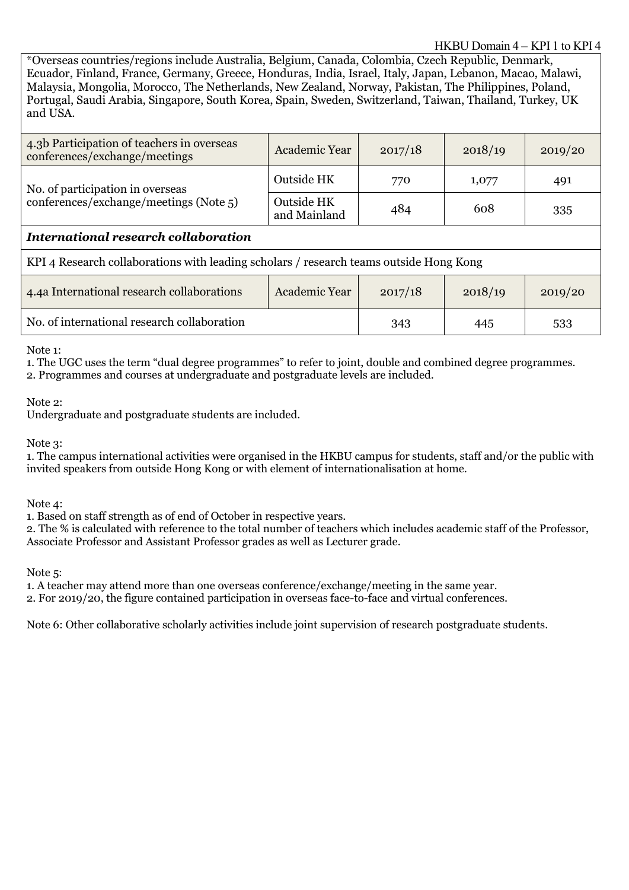#### HKBU Domain 4 – KPI 1 to KPI 4

\*Overseas countries/regions include Australia, Belgium, Canada, Colombia, Czech Republic, Denmark, Ecuador, Finland, France, Germany, Greece, Honduras, India, Israel, Italy, Japan, Lebanon, Macao, Malawi, Malaysia, Mongolia, Morocco, The Netherlands, New Zealand, Norway, Pakistan, The Philippines, Poland, Portugal, Saudi Arabia, Singapore, South Korea, Spain, Sweden, Switzerland, Taiwan, Thailand, Turkey, UK and USA.

| 4.3b Participation of teachers in overseas<br>conferences/exchange/meetings            | Academic Year              | 2017/18 | 2018/19 | 2019/20 |  |
|----------------------------------------------------------------------------------------|----------------------------|---------|---------|---------|--|
| No. of participation in overseas                                                       | Outside HK                 | 770     | 1,077   | 491     |  |
| conferences/exchange/meetings (Note 5)                                                 | Outside HK<br>and Mainland | 484     | 608     | 335     |  |
| <b>International research collaboration</b>                                            |                            |         |         |         |  |
| KPI 4 Research collaborations with leading scholars / research teams outside Hong Kong |                            |         |         |         |  |
| 4.4a International research collaborations                                             | Academic Year              | 2017/18 | 2018/19 | 2019/20 |  |
| No. of international research collaboration                                            |                            | 343     | 445     | 533     |  |

Note 1:

1. The UGC uses the term "dual degree programmes" to refer to joint, double and combined degree programmes.

2. Programmes and courses at undergraduate and postgraduate levels are included.

Note 2:

Undergraduate and postgraduate students are included.

Note 3:

1. The campus international activities were organised in the HKBU campus for students, staff and/or the public with invited speakers from outside Hong Kong or with element of internationalisation at home.

Note 4:

1. Based on staff strength as of end of October in respective years.

2. The % is calculated with reference to the total number of teachers which includes academic staff of the Professor, Associate Professor and Assistant Professor grades as well as Lecturer grade.

Note 5:

1. A teacher may attend more than one overseas conference/exchange/meeting in the same year.

2. For 2019/20, the figure contained participation in overseas face-to-face and virtual conferences.

Note 6: Other collaborative scholarly activities include joint supervision of research postgraduate students.